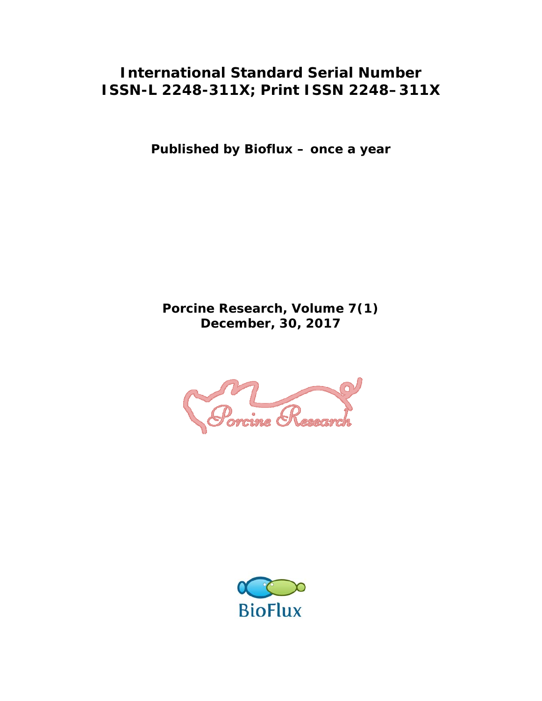### **International Standard Serial Number ISSN-L 2248-311X; Print ISSN 2248–311X**

**Published by Bioflux – once a year** 

**Porcine Research, Volume 7(1) December, 30, 2017** 



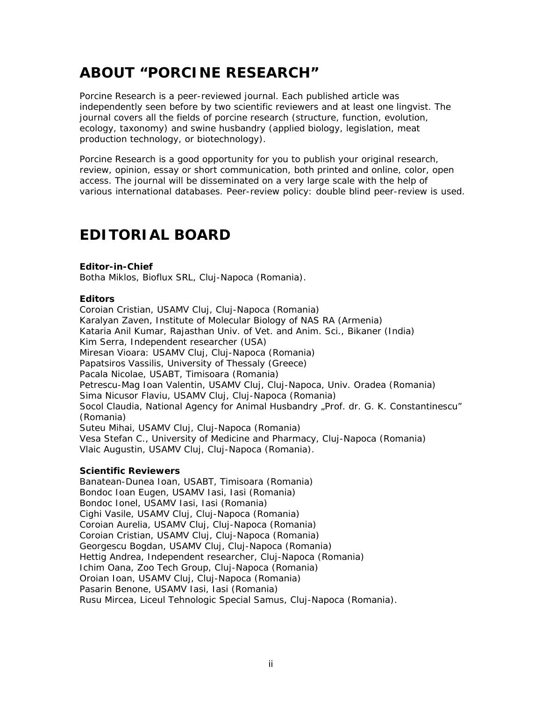# **ABOUT "PORCINE RESEARCH"**

Porcine Research is a peer-reviewed journal. Each published article was independently seen before by two scientific reviewers and at least one lingvist. The journal covers all the fields of porcine research (structure, function, evolution, ecology, taxonomy) and swine husbandry (applied biology, legislation, meat production technology, or biotechnology).

Porcine Research is a good opportunity for you to publish your original research, review, opinion, essay or short communication, both printed and online, color, open access. The journal will be disseminated on a very large scale with the help of various international databases. Peer-review policy: double blind peer-review is used.

# **EDITORIAL BOARD**

#### **Editor-in-Chief**

Botha Miklos, Bioflux SRL, Cluj-Napoca (Romania).

#### **Editors**

Coroian Cristian, USAMV Cluj, Cluj-Napoca (Romania) Karalyan Zaven, Institute of Molecular Biology of NAS RA (Armenia) Kataria Anil Kumar, Rajasthan Univ. of Vet. and Anim. Sci., Bikaner (India) Kim Serra, Independent researcher (USA) Miresan Vioara: USAMV Cluj, Cluj-Napoca (Romania) Papatsiros Vassilis, University of Thessaly (Greece) Pacala Nicolae, USABT, Timisoara (Romania) Petrescu-Mag Ioan Valentin, USAMV Cluj, Cluj-Napoca, Univ. Oradea (Romania) Sima Nicusor Flaviu, USAMV Cluj, Cluj-Napoca (Romania) Socol Claudia, National Agency for Animal Husbandry "Prof. dr. G. K. Constantinescu" (Romania) Suteu Mihai, USAMV Cluj, Cluj-Napoca (Romania) Vesa Stefan C., University of Medicine and Pharmacy, Cluj-Napoca (Romania) Vlaic Augustin, USAMV Cluj, Cluj-Napoca (Romania).

#### **Scientific Reviewers**

Banatean-Dunea Ioan, USABT, Timisoara (Romania) Bondoc Ioan Eugen, USAMV Iasi, Iasi (Romania) Bondoc Ionel, USAMV Iasi, Iasi (Romania) Cighi Vasile, USAMV Cluj, Cluj-Napoca (Romania) Coroian Aurelia, USAMV Cluj, Cluj-Napoca (Romania) Coroian Cristian, USAMV Cluj, Cluj-Napoca (Romania) Georgescu Bogdan, USAMV Cluj, Cluj-Napoca (Romania) Hettig Andrea, Independent researcher, Cluj-Napoca (Romania) Ichim Oana, Zoo Tech Group, Cluj-Napoca (Romania) Oroian Ioan, USAMV Cluj, Cluj-Napoca (Romania) Pasarin Benone, USAMV Iasi, Iasi (Romania) Rusu Mircea, Liceul Tehnologic Special Samus, Cluj-Napoca (Romania).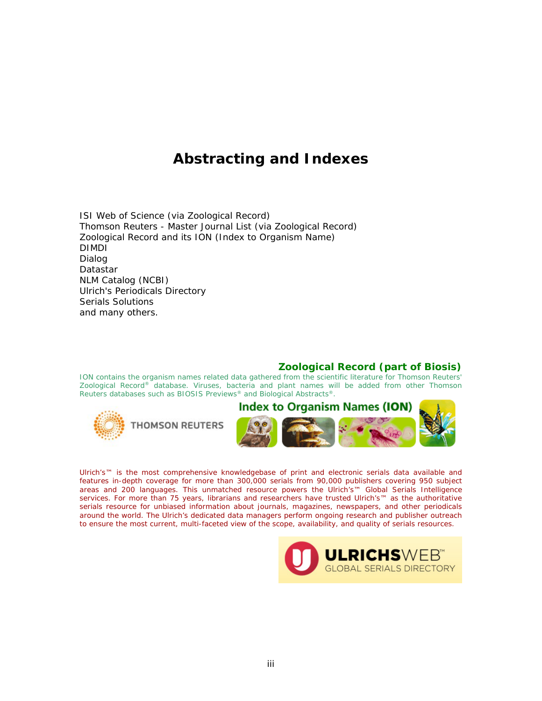# **Abstracting and Indexes**

ISI Web of Science (via Zoological Record) Thomson Reuters - Master Journal List (via Zoological Record) Zoological Record and its ION (Index to Organism Name) DIMDI Dialog Datastar NLM Catalog (NCBI) Ulrich's Periodicals Directory Serials Solutions and many others.

#### **Zoological Record (part of Biosis)**

ION contains the organism names related data gathered from the scientific literature for Thomson Reuters' *Zoological Record®* database. Viruses, bacteria and plant names will be added from other Thomson Reuters databases such as *BIOSIS Previews®* and *Biological Abstracts®.*



Ulrich's™ is the most comprehensive knowledgebase of print and electronic serials data available and features in-depth coverage for more than 300,000 serials from 90,000 publishers covering 950 subject areas and 200 languages. This unmatched resource powers the Ulrich's™ Global Serials Intelligence services. For more than 75 years, librarians and researchers have trusted Ulrich's™ as the authoritative serials resource for unbiased information about journals, magazines, newspapers, and other periodicals around the world. The Ulrich's dedicated data managers perform ongoing research and publisher outreach to ensure the most current, multi-faceted view of the scope, availability, and quality of serials resources.